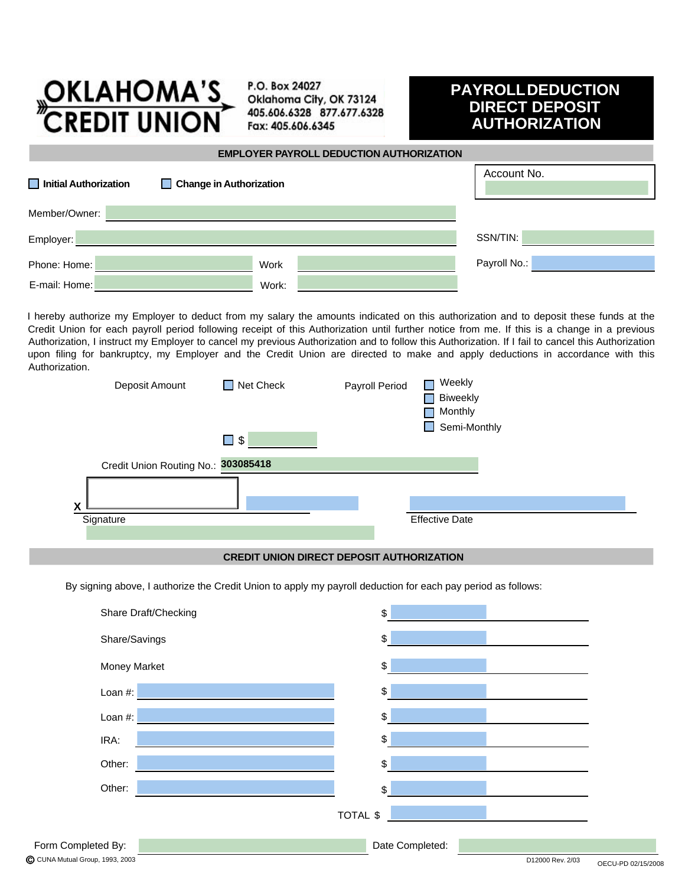

P.O. Box 24027 Oklahoma City, OK 73124 405.606.6328 877.677.6328 Fax: 405.606.6345

## **PAYROLL DEDUCTION DIRECT DEPOSIT AUTHORIZATION**

## **EMPLOYER PAYROLL DEDUCTION AUTHORIZATION**

| Initial Authorization<br>Change in Authorization |       |  | Account No.  |
|--------------------------------------------------|-------|--|--------------|
| Member/Owner:                                    |       |  |              |
| Employer:                                        |       |  | SSN/TIN:     |
| Phone: Home:                                     | Work  |  | Payroll No.: |
| E-mail: Home:                                    | Work: |  |              |

I hereby authorize my Employer to deduct from my salary the amounts indicated on this authorization and to deposit these funds at the Credit Union for each payroll period following receipt of this Authorization until further notice from me. If this is a change in a previous Authorization, I instruct my Employer to cancel my previous Authorization and to follow this Authorization. If I fail to cancel this Authorization upon filing for bankruptcy, my Employer and the Credit Union are directed to make and apply deductions in accordance with this Authorization.

| Deposit Amount                      | $\Box$ Net Check | Payroll Period | Weekly<br><b>Biweekly</b><br>Monthly<br>Semi-Monthly<br><b>Tara</b> |
|-------------------------------------|------------------|----------------|---------------------------------------------------------------------|
|                                     | $\square$ \$     |                |                                                                     |
| Credit Union Routing No.: 303085418 |                  |                |                                                                     |
|                                     |                  |                |                                                                     |
| $\mathbf{v}$<br>Signature           |                  |                | <b>Effective Date</b>                                               |
|                                     |                  |                |                                                                     |

## **CREDIT UNION DIRECT DEPOSIT AUTHORIZATION**

By signing above, I authorize the Credit Union to apply my payroll deduction for each pay period as follows:

|                    | Share Draft/Checking |          | \$              |
|--------------------|----------------------|----------|-----------------|
|                    | Share/Savings        |          | \$              |
|                    | <b>Money Market</b>  |          | \$              |
|                    | Loan $#$ :           |          | \$              |
|                    | Loan $#$ :           |          | \$              |
|                    | IRA:                 |          | \$              |
|                    | Other:               |          | \$              |
|                    | Other:               |          | \$              |
|                    |                      | TOTAL \$ |                 |
| Form Completed By: |                      |          | Date Completed: |